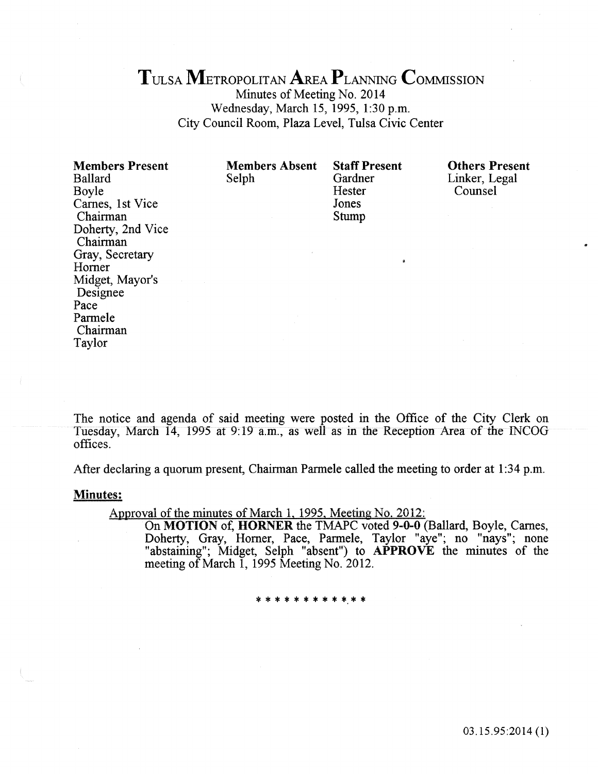# TULSA METROPOLITAN AREA PLANNING CoMMISSION

Minutes of Meeting No. 2014 Wednesday, March 15, 1995, 1:30 p.m. City Council Room, Plaza Level, Tulsa Civic Center

Members Present Ballard Boyle Carnes, 1st Vice Chairman Doherty, 2nd Vice Chairman Gray, Secretary Homer Midget, Mayor's Designee Pace Parmele Chairman Taylor

Members Absent Selph

Staff Present Gardner Hester Jones Stump

Others Present Linker, Legal Counsel

The notice and agenda of said meeting were posted in the Office of the City Clerk on Tuesday, March 14, 1995 at 9:19 a.m., as well as in the Reception Area of the INCOG offices.

After declaring a quorum present, Chairman Parmele called the meeting to order at 1:34 p.m.

#### **Minutes:**

Approval of the minutes of March 1, 1995, Meeting No. 2012:

On MOTION of, HORNER the TMAPC voted 9-0-0 (Ballard, Boyle, Carnes, Doherty, Gray, Horner, Pace, Parmele, Taylor "aye", no "nays"; none "abstaining"; Midget, Selph "absent") to APPROVE the minutes of the meeting of March 1, 1995 Meeting No. 2012.

\* \* \* \* \* \* \* \* \* \*·\* \*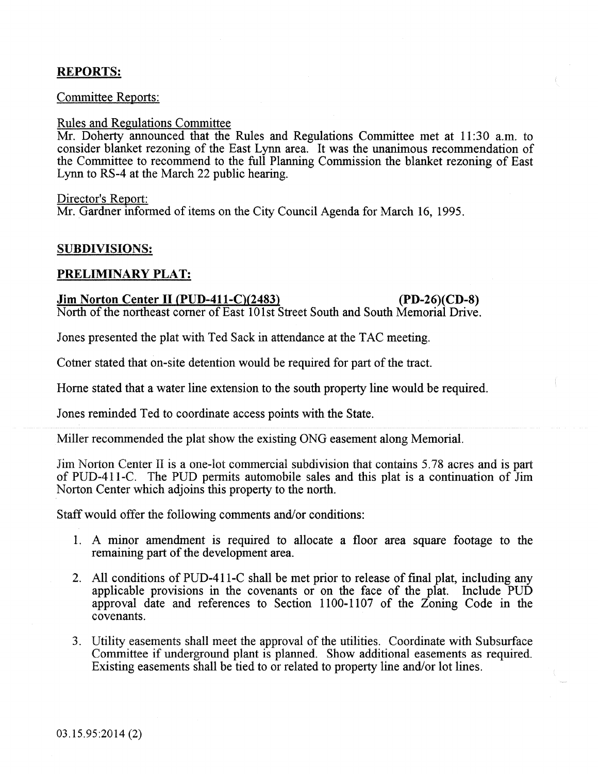# REPORTS:

# Committee Reports:

#### Rules and Regulations Committee

Mr. Doherty announced that the Rules and Regulations Committee met at 11:30 a.m. to consider blanket rezoning of the East Lynn area. It was the unanimous recommendation of the Committee to recommend to the full Planning Commission the blanket rezoning of East Lynn to RS-4 at the March 22 public hearing.

#### Director's Report:

Mr. Gardner informed of items on the City Council Agenda for March 16, 1995.

# SUBDIVISIONS:

# PRELIMINARY PLAT:

# Jim Norton Center II (PUD-411-C)(2483) (PD-26)(CD-8)

North of the northeast comer of East 101st Street South and South Memorial Drive.

Jones presented the plat with Ted Sack in attendance at the TAC meeting.

Cotner stated that on-site detention would be required for part of the tract.

Home stated that a water line extension to the south property line would be required.

Jones reminded Ted to coordinate access points with the State.

Miller recommended the plat show the existing ONG easement along Memorial.

Jim Norton Center II is a one-lot commercial subdivision that contains 5.78 acres and is part of PUD-411-C. The PUD permits automobile sales and this plat is a continuation of Jim Norton Center which adjoins this property to the north.

Staff would offer the following comments and/or conditions:

- 1. A minor amendment is required to allocate a floor area square footage to the remaining part of the development area.
- 2. All conditions of PUD-411-C shall be met prior to release of fmal plat, including any applicable provisions in the covenants or on the face of the plat. Include PUD approval date and references to Section 1100-1107 of the Zoning Code in the covenants.
- 3. Utility easements shall meet the approval of the utilities. Coordinate with Subsurface Committee if underground plant is planned. Show additional easements as required. Existing easements shall be tied to or related to property line and/or lot lines.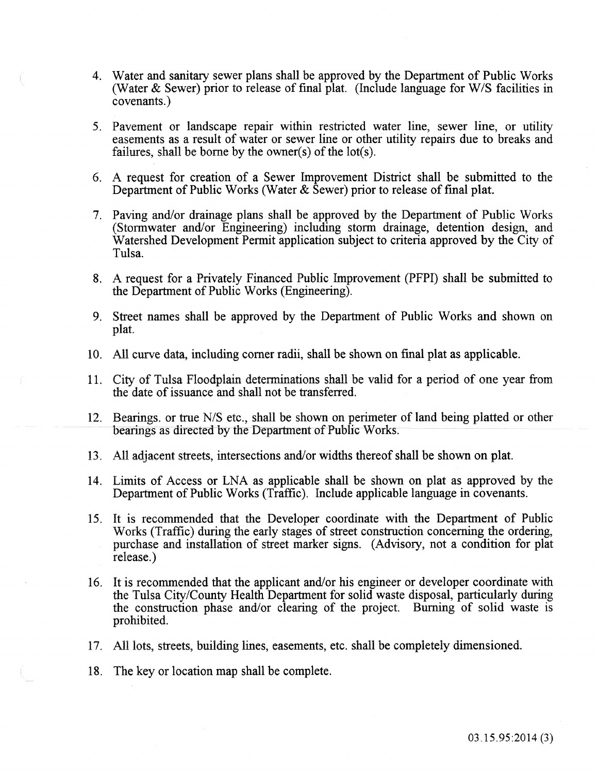- 4. Water and sanitary sewer plans shall be approved by the Department of Public Works (Water & Sewer) prior to release of fmal plat. (Include language for W/S facilities in covenants.)
- 5. Pavement or landscape repair within restricted water line, sewer line, or utility easements as a result of water or sewer line or other utility repairs due to breaks and failures, shall be borne by the owner(s) of the  $lot(s)$ .
- 6. A request for creation of a Sewer Improvement District shall be submitted to the Department of Public Works (Water  $\&$  Sewer) prior to release of final plat.
- 7. Paving and/or drainage plans shall be approved by the Department of Public Works (Stormwater and/or Engineering) including storm drainage, detention design, and Watershed Development Permit application subject to criteria approved by the City of Tulsa.
- 8. A request for a Privately Financed Public Improvement (PFPI) shall be submitted to the Department of Public Works (Engineering).
- 9. Street names shall be approved by the Department of Public Works and shown on plat.
- 10. All curve data, including corner radii, shall be shown on fmal plat as applicable.
- 11. City of Tulsa Floodplain determinations shall be valid for a period of one year from the date of issuance and shall not be transferred.
- 12. Bearings. or true N/S etc., shall be shown on perimeter of land being platted or other bearings as directed by the Department of Public Works.
- 13. *All* adiacent streets, intersections and/or widths thereof shall be shown on plat.
- 14. Limits of Access or LNA as applicable shall be shown on plat as approved by the Department of Public Works (Traffic). Include applicable language in covenants.
- 15. It is recommended that the Developer coordinate with the Department of Public Works (Traffic) during the early stages of street construction concerning the ordering, purchase and installation of street marker signs. (Advisory, not a condition for plat release.)
- 16. It is recommended that the applicant and/or his engineer or developer coordinate with the Tulsa City/County Health Department for solid waste disposal, particularly during the construction phase and/or clearing of the project. Burning of solid waste is prohibited.
- 17. All lots, streets, building lines, easements, etc. shall be completely dimensioned.
- 18. The key or location map shall be complete.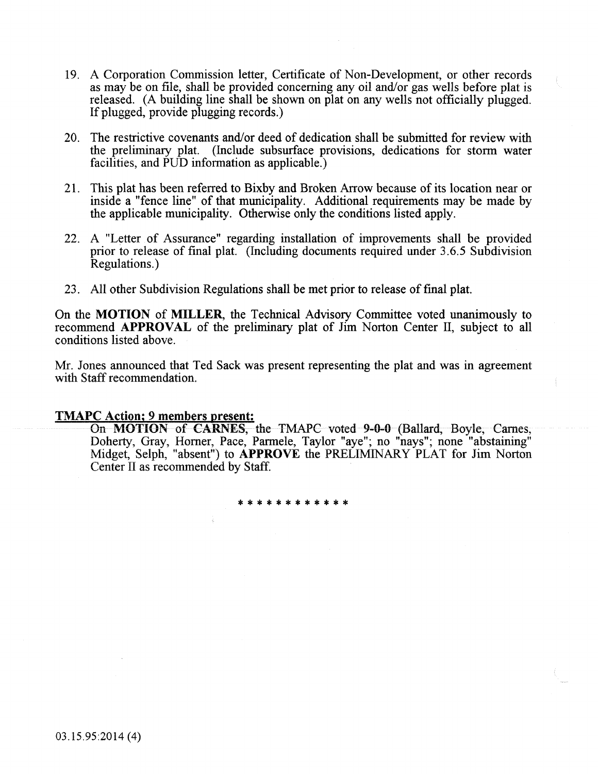- 19. A Corporation Commission letter, Certificate of Non-Development, or other records as may be on file, shall be provided concerning any oil and/or gas wells before plat is released. (A building line shall be shown on plat on any wells not officially plugged. If plugged, provide plugging records.)
- 20. The restrictive covenants and/or deed of dedication shall be submitted for review with the preliminary plat. (Include subsurface provisions, dedications for storm water facilities, and PUD information as applicable.)
- 21. This plat has been referred to Bixby and Broken Arrow because of its location near or inside a "fence line" of that municipality. Additional requirements may be made by the applicable municipality. Otherwise only the conditions listed apply.
- 22. A "Letter of Assurance" regarding installation of improvements shall be provided prior to release of fmal plat. (Including documents required under 3.6.5 Subdivision Regulations.)
- 23. All other Subdivision Regulations shall be met prior to release of fmal plat.

On the MOTION of MILLER, the Technical Advisory Committee voted unanimously to recommend APPROVAL of the preliminary plat of Jim Norton Center II, subject to all conditions listed above.

Mr. Jones announced that Ted Sack was present representing the plat and was in agreement with Staff recommendation.

#### TMAPC Action; 9 members present:

On MOTION of CARNES, the TMAPC voted 9-0-0 (Ballard, Boyle, Carnes, Doherty, Gray, Horner, Pace, Parmele, Taylor "aye"; no "nays"; none "abstaining" Midget, Selph, "absent") to APPROVE the PRELIMINARY PLAT for Jim Norton Center II as recommended by Staff.

\*\*\*\*\*\*\*\*\*\*\*\*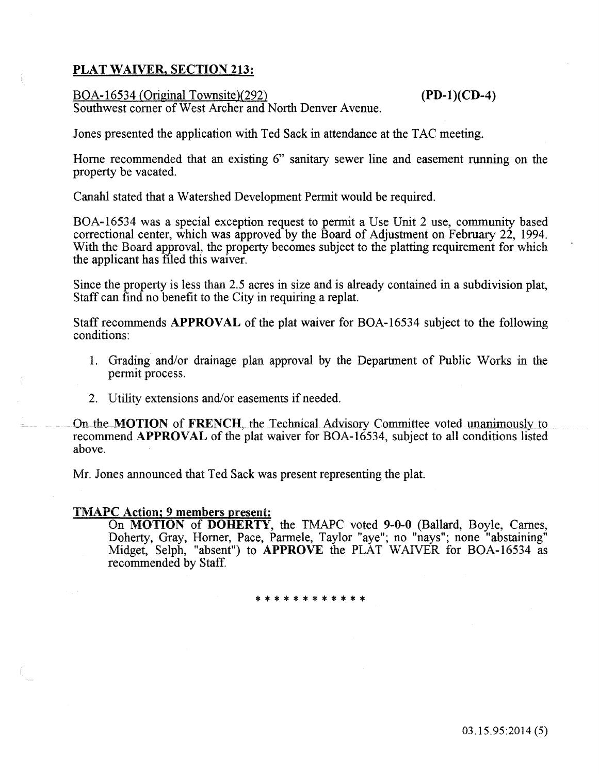# PLAT WAIVER, SECTION 213:

### BOA-16534 (Original Townsite)(292) (PD-l)(CD-4)

Southwest comer of West Archer and North Denver Avenue.

Jones presented the application with Ted Sack in attendance at the TAC meeting.

Home recommended that an existing 6" sanitary sewer line and easement running on the property be vacated.

Canahl stated that a Watershed Development Permit would be required.

BOA-16534 was a special exception request to permit a Use Unit 2 use, community based correctional center, which was approved by the Board of Adjustment on February 22, 1994. With the Board approval, the property becomes subject to the platting requirement for which the applicant has filed this waiver.

Since the property is less than 2.5 acres in size and is already contained in a subdivision plat, Staff can find no benefit to the City in requiring a replat.

Staff recommends APPROVAL of the plat waiver for BOA-16534 subject to the following conditions:

- 1. Grading and/or drainage plan approval by the Department of Public Works in the permit process.
- 2. Utility extensions and/or easements if needed.

On the MOTION of FRENCH, the Technical Advisory Committee voted unanimously to recommend APPROVAL of the plat waiver for BOA-16534, subject to all conditions listed above.

Mr. Jones announced that Ted Sack was present representing the plat.

# TMAPC Action; 9 members present:

On MOTION of DOHERTY, the TMAPC voted 9-0-0 (Ballard, Boyle, Carnes, Doherty, Gray, Horner, Pace, Parmele, Taylor "aye"; no "nays"; none "abstaining" Midget, Selph, "absent") to APPROVE the PLAT WAIVER for BOA-16534 as recommended by Staff.

\* \* \* \* \* \* \* \*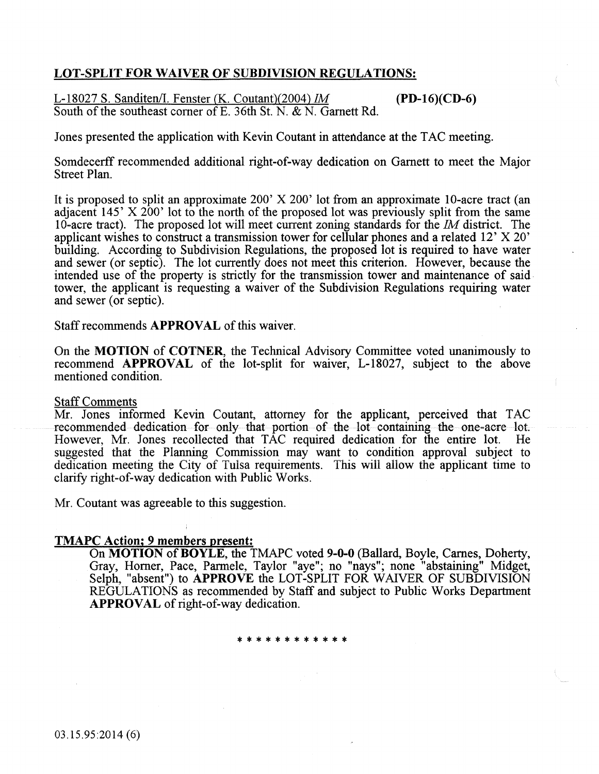# LOT-SPLIT FOR WAIVER OF SUBDIVISION REGULATIONS:

L-18027 S. Sanditen/I. Fenster (K. Coutant)(2004) 1M (PD-16)(CD-6) South of the southeast comer of E. 36th St. N. & N. Garnett Rd.

Jones presented the application with Kevin Coutant in attendance at the TAC meeting.

Somdecerff recommended additional right-of-way dedication on Garnett to meet the Major Street Plan.

It is proposed to split an approximate 200' X 200' lot from an approximate 10-acre tract (an adjacent 145' X 200' lot to the north of the proposed lot was previously split from the same 10-acre tract). The proposed lot will meet current zoning standards for the *1M* district. The applicant wishes to construct a transmission tower for cellular phones and a related 12' X 20' building. According to Subdivision Regulations, the proposed lot is required to have water and sewer (or septic). The lot currently does not meet this criterion. However, because the intended use of the property is strictly for the transmission tower and maintenance of said tower, the applicant is requesting a waiver of the Subdivision Regulations requiring water and sewer (or septic).

Staff recommends APPROVAL of this waiver.

On the MOTION of COTNER, the Technical Advisory Committee voted unanimously to recommend APPROVAL of the lot-split for waiver, L-18027, subject to the above mentioned condition.

#### Staff Comments

Mr. Jones informed Kevin Coutant, attorney for the applicant, perceived that TAC recommended dedication for only that portion of the lot containing the one-acre lot. However, Mr. Jones recollected that TAC required dedication for the entire lot. suggested that the Planning Commission may want to condition approval subject to dedication meeting the City of Tulsa requirements. This will allow the applicant time to clarify right-of-way dedication with Public Works.

Mr. Coutant was agreeable to this suggestion.

#### TMAPC Action; 9 members present:

On MOTION of BOYLE, the TMAPC voted 9-0-0 (Ballard, Boyle, Carnes, Doherty, Gray, Homer, Pace, Parmele, Taylor "aye"; no "nays"; none "abstaining" Midget, Selph, "absent") to **APPROVE** the LOT-SPLIT FOR WAIVER OF SUBDIVISION REGULATIONS as recommended by Staff and subject to Public Works Department APPROVAL of right-of-way dedication.

#### \*\*\*\*\*\*\*\*\*\*\*\*

03.15.95:2014 (6)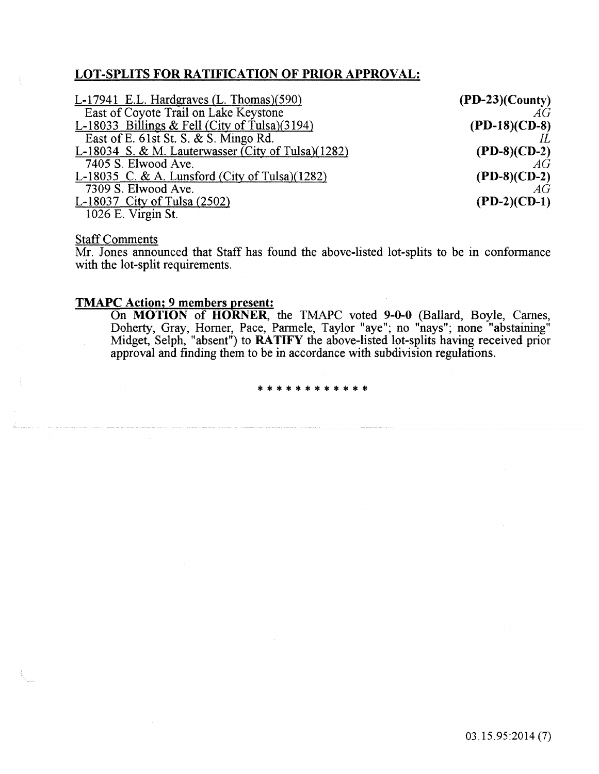# LOT-SPLITS FOR RATIFICATION OF PRIOR APPROVAL:

| L-17941 E.L. Hardgraves (L. Thomas)(590)              | $(PD-23)(Country)$   |
|-------------------------------------------------------|----------------------|
| East of Coyote Trail on Lake Keystone                 | AG                   |
| L-18033 Billings & Fell (City of Tulsa) $(3194)$      | $(PD-18)$ (CD-8)     |
| East of E. 61st St. S. & S. Mingo Rd.                 |                      |
| L-18034 S. & M. Lauterwasser (City of Tulsa) $(1282)$ | $(PD-8)(CD-2)$       |
| 7405 S. Elwood Ave.                                   | AG                   |
| L-18035 C. & A. Lunsford (City of Tulsa) $(1282)$     | $(PD-8)(CD-2)$<br>AG |
| 7309 S. Elwood Ave.                                   |                      |
| L-18037 City of Tulsa $(2502)$                        | $(PD-2)(CD-1)$       |
| 1026 E. Virgin St.                                    |                      |

# **Staff Comments**

Mr. Jones announced that Staff has found the above-listed lot-splits to be in conformance with the lot-split requirements.

# TMAPC Action; 9 members present:

On MOTION of HORNER, the TMAPC voted 9-0-0 (Ballard, Boyle, Carnes, Doherty, Gray, Homer, Pace, Parmele, Taylor "aye"; no "nays"; none "abstaining" Midget, Selph, "absent") to RATIFY the above-listed lot-splits having received prior approval and finding them to be in accordance with subdivision regulations.

\*\*\*\*\*\*\*\*\*\*\*\*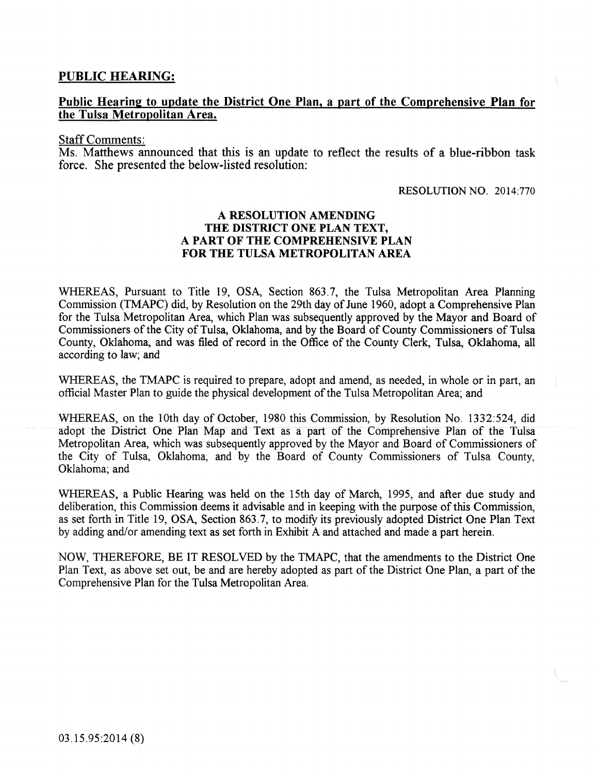## PUBLIC HEARING:

# Public Hearing to update the District One Plan, a part of the Comprehensive Plan for the Tulsa Metropolitan Area.

#### Staff Comments:

Ms. Matthews announced that this is an update to reflect the results of a blue-ribbon task force. She presented the below-listed resolution:

#### RESOLUTION NO. 2014:770

### A RESOLUTION AMENDING THE DISTRICT ONE PLAN TEXT, A PART OF THE COMPREHENSIVE PLAN FOR THE TULSA METROPOLITAN AREA

WHEREAS, Pursuant to Title 19, OSA, Section 863.7, the Tulsa Metropolitan Area Planning Commission (TMAPC) did, by Resolution on the 29th day of June 1960, adopt a Comprehensive Plan for the Tulsa Metropolitan Area, which Plan was subsequently approved by the Mayor and Board of Commissioners of the City of Tulsa, Oklahoma, and by the Board of County Commissioners of Tulsa County, Oklahoma, and was filed of record in the Office of the County Clerk, Tulsa, Oklahoma, all according to law; and

WHEREAS, the TMAPC is required to prepare, adopt and amend, as needed, in whole or in part, an official Master Plan to guide the physical development of the Tulsa Metropolitan Area; and

WHEREAS, on the lOth day of October, 1980 this Commission, by Resolution No. 1332:524, did adopt the District One Plan Map and Text as a part of the Comprehensive Plan of the Tulsa Metropolitan Area, which was subsequently approved by the Mayor and Board of Commissioners of the City of Tulsa, Oklahoma, and by the Board of County Commissioners of Tulsa County, Oklahoma; and

WHEREAS, a Public Hearing was held on the 15th day of March, 1995, and after due study and deliberation, this Commission deems it advisable and in keeping with the purpose of this Commission, as set forth in Title 19, OSA, Section 863.7, to modify its previously adopted District One Plan Text by adding and/or amending text as set forth in Exhibit A and attached and made a part herein.

NOW, THEREFORE, BE IT RESOLVED by the TMAPC, that the amendments to the District One Plan Text, as above set out, be and are hereby adopted as part of the District One Plan, a part of the Comprehensive Plan for the Tulsa Metropolitan Area.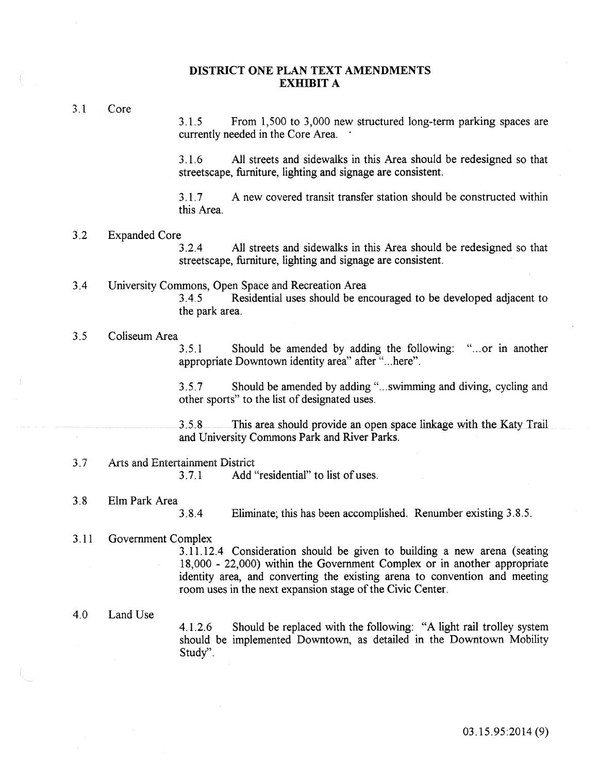#### **DISTRICT ONE PLAN TEXT AMENDMENTS EXHIBIT A**

3.1 Core

3.1.5 From 1,500 to 3,000 new structured long-term parking spaces are currently needed in the Core Area.

3. 1. 6 All streets and sidewalks in this Area should be redesigned so that streetscape, furniture, lighting and signage are consistent.

3.1.7 A new covered transit transfer station should be constructed within this Area.

#### 3.2 Expanded Core

3.2.4 All streets and sidewalks in this Area should be redesigned so that streetscape, furniture, lighting and signage are consistent.

#### 3.4 University Commons, Open Space and Recreation Area 3.4.5 Residential uses should be encouraged to be developed adjacent to

the park area.

#### 3. 5 Coliseum Area

3. 5.1 Should be amended by adding the following: " ... or in another appropriate Downtown identity area" after "... here".

3. 5. 7 Should be amended by adding " ... swimming and diving, cycling and other sports" to the list of designated uses.

3. 5. 8 This area should provide an open space linkage with the Katy Trail and University Commons Park and River Parks.

#### 3.7 Arts and Entertainment District

3.7.1 Add "residential" to list of uses.

3.8 Elm Park Area 3.8.4

Eliminate; this has been accomplished. Renumber existing 3.8.5.

#### 3. 11 Government Complex

3.11.12.4 Consideration should be given to building a new arena (seating 18,000 - 22,000) within the Government Complex or in another appropriate identity area, and converting the existing arena to convention and meeting room uses in the next expansion stage of the Civic Center.

4.0 Land Use

4.1.2.6 Should be replaced with the following: "A light rail trolley system should be implemented Downtown, as detailed in the Downtown Mobility Study".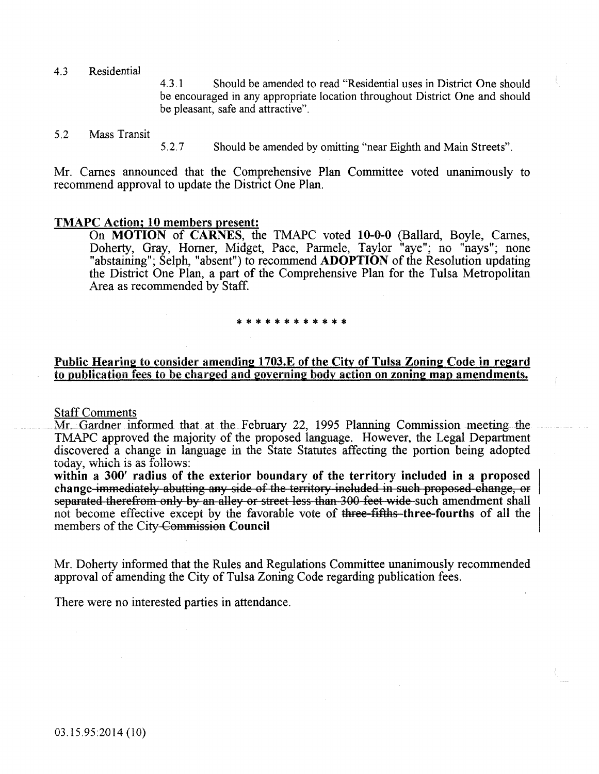4.3 Residential

4. 3. 1 Should be amended to read "Residential uses in District One should be encouraged in any appropriate location throughout District One and should be pleasant, safe and attractive".

#### 5.2 Mass Transit

5.2.7 Should be amended by omitting "near Eighth and Main Streets".

Mr. Carnes announced that the Comprehensive Plan Committee voted unanimously to recommend approval to update the District One Plan.

#### TMAPC Action; 10 members present:

On MOTION of CARNES, the TMAPC voted 10-0-0 (Ballard, Boyle, Carnes, Doherty, Gray, Homer, Midget, Pace, Parmele, Taylor "aye"; no "nays"; none "abstaining"; Selph, "absent") to recommend **ADOPTION** of the Resolution updating the District One Plan, a part of the Comprehensive Plan for the Tulsa Metropolitan Area as recommended by Staff.

# \*\*\*\*\*\*\*\*\*\*\*\*

# Public Hearing to consider amending 1703.E of the City of Tulsa Zoning Code in regard to publication fees to be charged and 20vernin2 body action on zoning map amendments.

#### Staff Comments

Mr. Gardner informed that at the February 22, 1995 Planning Commission meeting the TMAPC approved the majority of the proposed language. However, the Legal Department discovered a change in language in the State Statutes affecting the portion being adopted today, which is as follows:

within a 300' radius of the exterior boundary of the territory included in a proposed change immediately abutting any side of the territory included in such proposed change, or separated therefrom only by an alley or street less than 300 feet wide such amendment shall not become effective except by the favorabie vote of three fifths three-fourths of ali the members of the City Commission Council

Mr. Doherty informed that the Rules and Regulations Committee unanimously recommended approval of amending the City of Tulsa Zoning Code regarding publication fees.

There were no interested parties in attendance.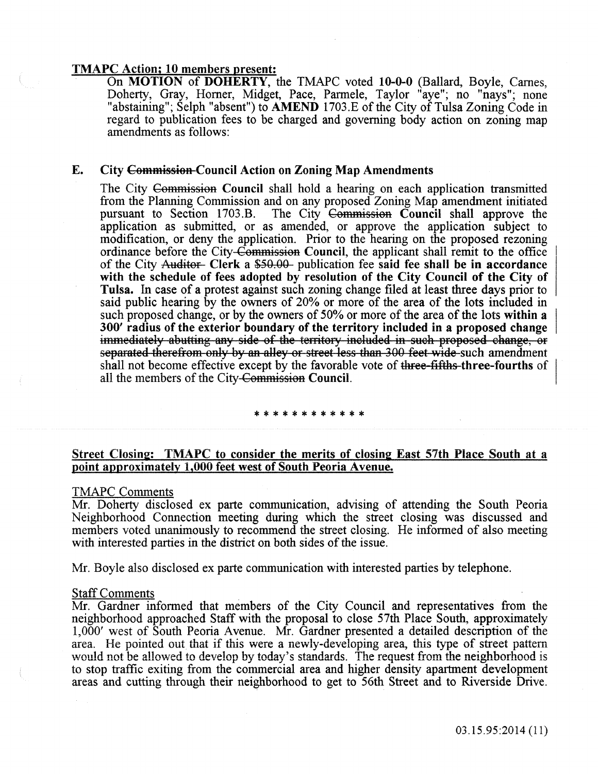### TMAPC Action; 10 members present:

On MOTION of DOHERTY, the TMAPC voted 10-0-0 (Ballard, Boyle, Carnes, Doherty, Gray, Horner, Midget, Pace, Parmele, Taylor "aye"; no "nays"; none "abstaining"; Selph "absent") to AMEND 1703.E of the City of Tulsa Zoning Code in regard to publication fees to be charged and governing body action on zoning map amendments as follows:

#### E. City Commission-Council Action on Zoning Map Amendments

The City Commission Council shall hold a hearing on each application transmitted from the Planning Commission and on any proposed Zoning Map amendment initiated pursuant to Section 1703.B. The City Commission Council shall approve the application as submitted, or as amended, or approve the application subject to modification, or deny the application. Prior to the hearing on the proposed rezoning ordinance before the City-Commission Council, the applicant shall remit to the office of the City Auditor- Clerk a \$50.00- publication fee said fee shall be in accordance with the schedule of fees adopted by resolution of the City Council of the City of Tulsa. In case of a protest against such zoning change filed at least three days prior to said public hearing by the owners of 20% or more of the area of the lots included in such proposed change, or by the owners of 50% or more of the area of the lots within a 300' radius of the exterior boundary of the territory included in a proposed change immediately abutting any side of the territory included in such proposed change, or separated therefrom only by an alley or street less than 300 feet wide such amendment shall not become effective except by the favorable vote of three-fifths three-fourths of all the members of the City-Commission Council.

#### \*\*\*\*\*\*\*\*\*\*\*\*

### Street Closing: TMAPC to consider the merits of closing East 57th Place South at a point approximately 1,000 feet west of South Peoria Avenue.

#### TMAPC Comments

Mr. Doherty disclosed ex parte communication, advising of attending the South Peoria Neighborhood Connection meeting during which the street closing was discussed and members voted unanimously to recommend the street closing. He informed of also meeting with interested parties in the district on both sides of the issue.

Mr. Boyle also disclosed ex parte communication with interested parties by telephone.

#### **Staff Comments**

Mr. Gardner informed that members of the City Council and representatives from the neighborhood approached Staff with the proposal to close 57th Place South, approximately 1,000' west of South Peoria Avenue. Mr. Gardner presented a detailed description of the area. He pointed out that if this were a newly-developing area, this type of street pattern would not be allowed to develop by today's standards. The request from the neighborhood is to stop traffic exiting from the commercial area and higher density apartment development areas and cutting through their neighborhood to get to 56th Street and to Riverside Drive.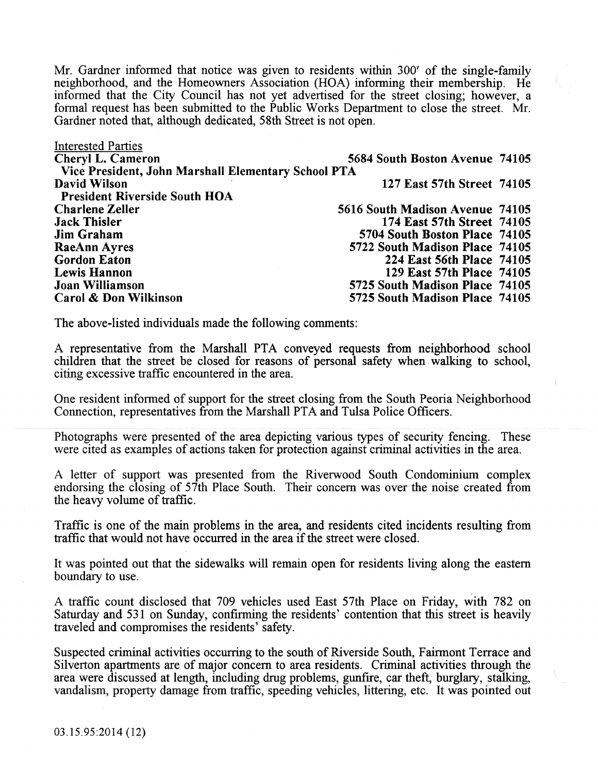Mr. Gardner informed that notice was given to residents within 300' of the single-family neighborhood, and the Homeowners Association (HOA) informing their membership. He informed that the City Council has not yet advertised for the street closing; however, a formal request has been submitted to the Public Works Department to close the street. Mr. Gardner noted that, although dedicated, 58th Street is not open.

| 5684 South Boston Avenue 74105  |                                                     |
|---------------------------------|-----------------------------------------------------|
|                                 |                                                     |
| 127 East 57th Street 74105      |                                                     |
|                                 |                                                     |
| 5616 South Madison Avenue 74105 |                                                     |
| 174 East 57th Street 74105      |                                                     |
| 5704 South Boston Place 74105   |                                                     |
| 5722 South Madison Place 74105  |                                                     |
| 224 East 56th Place 74105       |                                                     |
| 129 East 57th Place 74105       |                                                     |
| 5725 South Madison Place 74105  |                                                     |
| 5725 South Madison Place 74105  |                                                     |
|                                 | Vice President, John Marshall Elementary School PTA |

The above-listed individuals made the following comments:

A representative from the Marshall PTA conveyed requests from neighborhood school children that the street be closed for reasons of personal safety when walking to school, citing excessive traffic encountered in the area.

One resident informed of support for the street closing from the South Peoria Neighborhood Connection, representatives from the Marshall PTA and Tulsa Police Officers.

Photographs were presented of the area depicting various types of security fencing. These were cited as examples of actions taken for protection against criminal activities in the area.

A letter of support was presented from the Riverwood South Condominium complex endorsing the closing of  $57th$  Place South. Their concern was over the noise created from the heavy volume of traffic.

Traffic is one of the main problems in the area, and residents cited incidents resulting from traffic that would not have occurred in the area if the street were closed.

It was pointed out that the sidewalks will remain open for residents living along the eastern boundary to use.

A traffic count disclosed that 709 vehicles used East 57th Place on Friday, with 782 on Saturday and 531 on Sunday, confirming the residents' contention that this street is heavily traveled and compromises the residents' safety.

Suspected criminal activities occurring to the south of Riverside South, Fairmont Terrace and Silverton apartments are of major concern to area residents. Criminal activities through the area were discussed at length, including drug problems, gunfrre, car theft, burglary, stalking, vandalism, property damage from traffic, speeding vehicles, littering, etc. It was pointed out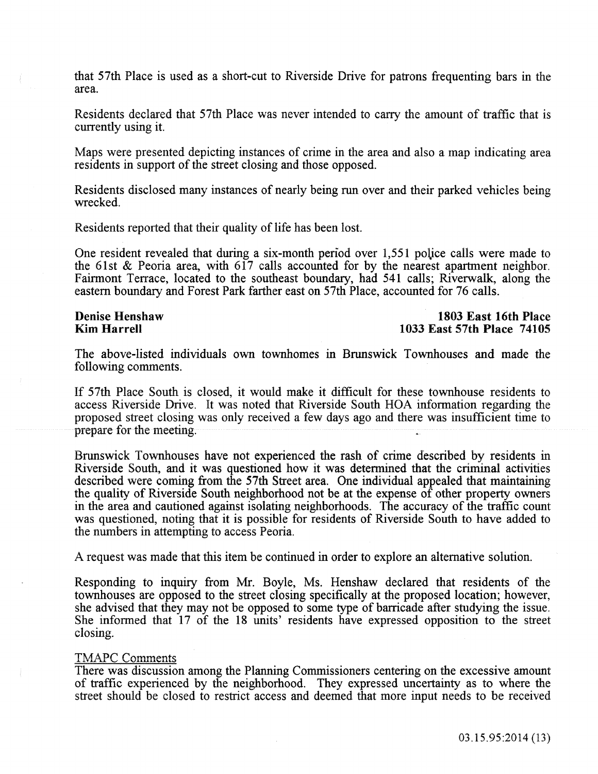that 57th Place is used as a short-cut to Riverside Drive for patrons frequenting bars in the area.

Residents declared that 57th Place was never intended to cany the amount of traffic that is currently using it.

Maps were presented depicting instances of crime in the area and also a map indicating area residents in support of the street closing and those opposed.

Residents disclosed many instances of nearly being run over and their parked vehicles being wrecked.

Residents reported that their quality of life has been lost.

One resident revealed that during a six-month period over 1,551 police calls were made to the 61st  $\&$  Peoria area, with 617 calls accounted for by the nearest apartment neighbor. Fairmont Terrace, located to the southeast boundary, had 541 calls; Riverwalk, along the eastern boundary and Forest Park farther east on 57th Place, accounted for 76 calls.

#### Denise Henshaw Kim Harrell

### 1803 East 16th Place 1033 East 57th Place 74105

The above-listed individuals own townhomes in Brunswick Townhouses and made the following comments.

If 57th Place South is closed, it would make it difficult for these townhouse residents to access Riverside Drive. It was noted that Riverside South HOA information regarding the proposed street closing was only received a few days ago and there was insufficient time to prepare for the meeting.

Brunswick Townhouses have not experienced the rash of crime described by residents in Riverside South, and it was questioned how it was determined that the criminal activities described were coming from the 57th Street area. One individual appealed that maintaining the quality of Riverside South neighborhood not be at the expense of other property owners in the area and cautioned against isolating neighborhoods. The accuracy of the traffic count was questioned, noting that it is possible for residents of Riverside South to have added to the numbers in attempting to access Peoria.

A request was made that this item be continued in order to explore an alternative solution.

Responding to inquiry from Mr. Boyle, Ms. Henshaw declared that residents of the townhouses are opposed to the street closing specifically at the proposed location; however, she advised that they may not be opposed to some type of barricade after studying the issue. She informed that 17 of the 18 units' residents have expressed opposition to the street closing.

#### TMAPC Comments

There was discussion among the Planning Commissioners centering on the excessive amount of traffic experienced by the neighborhood. They expressed uncertainty as to where the street should be closed to restrict access and deemed that more input needs to be received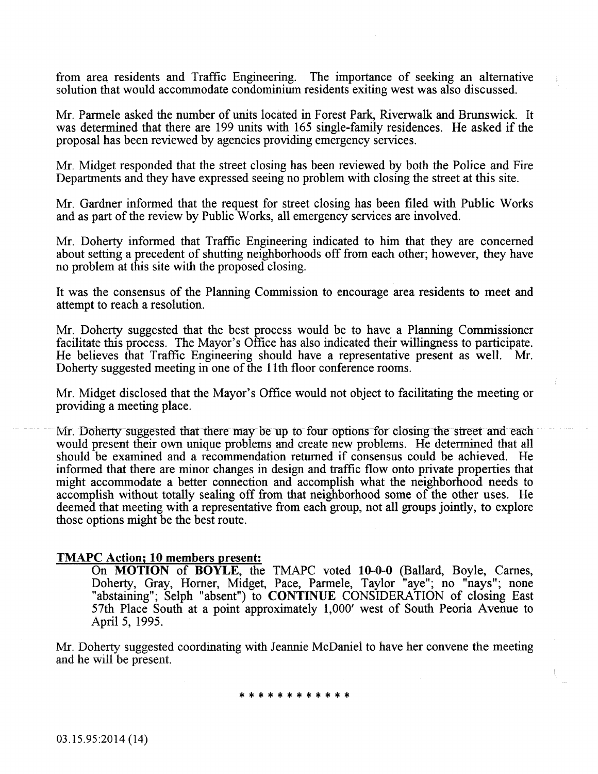from area residents and Traffic Engineering. The importance of seeking an alternative solution that would accommodate condominium residents exiting west was also discussed.

Mr. Parmele asked the number of units located in Forest Park, Riverwalk and Brunswick. It was determined that there are 199 units with 165 single-family residences. He asked if the proposal has been reviewed by agencies providing emergency services.

Mr. Midget responded that the street closing has been reviewed by both the Police and Fire Departments and they have expressed seeing no problem with closing the street at this site.

Mr. Gardner informed that the request for street closing has been filed with Public Works and as part of the review by Public Works, all emergency services are involved.

Mr. Doherty informed that Traffic Engineering indicated to him that they are concerned about setting a precedent of shutting neighborhoods off from each other; however, they have no problem at this site with the proposed closing.

It was the consensus of the Planning Commission to encourage area residents to meet and attempt to reach a resolution.

Mr. Doherty suggested that the best process would be to have a Planning Commissioner facilitate this process. The Mayor's Office has also indicated their willingness to participate. He believes that Traffic Engineering should have a representative present as well. Mr. Doherty suggested meeting in one of the 11th floor conference rooms.

Mr. Midget disclosed that the Mayor's Office would not object to facilitating the meeting or providing a meeting place.

Mr. Doherty suggested that there may be up to four options for closing the street and each would present their own unique problems and create new problems. He determined that all should be examined and a recommendation returned if consensus could be achieved. He informed that there are minor changes in design and traffic flow onto private properties that might accommodate a better connection and accomplish what the neighborhood needs to accomplish without totally sealing off from that neighborhood some of the other uses. He deemed that meeting with a representative from each group, not all groups jointly, to explore those options might be the best route.

#### TMAPC Action; 10 members present:

On MOTION of BOYLE, the TMAPC voted 10-0-0 (Ballard, Boyle, Carnes, Doherty, Gray, Homer, Midget, Pace, Parmele, Taylor "aye"; no "nays"; none "abstaining"; Selph "absent") to CONTINUE CONSIDERATION of closing East 57th Place South at a point approximately 1,000' west of South Peoria Avenue to April 5, 1995.

Mr. Doherty suggested coordinating with Jeannie McDaniel to have her convene the meeting and he will be present.

#### \* \* \* \* \* \* \* \* \* \* \* \*

03.15.95:2014 (14)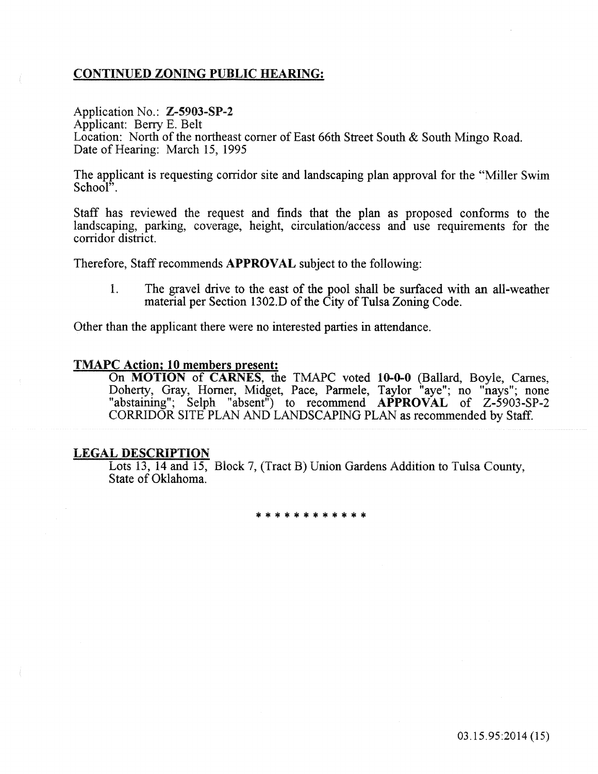# CONTINUED ZONING PUBLIC HEARING:

# Application No.: Z-5903-SP-2

Applicant: Beny E. Belt Location: North of the northeast corner of East 66th Street South & South Mingo Road. Date of Hearing: March 15, 1995

The applicant is requesting corridor site and landscaping plan approval for the "Miller Swim School".

Staff has reviewed the request and fmds that the plan as proposed conforms to the landscaping, parking, coverage, height, circulation/access and use requirements for the corridor district.

Therefore, Staff recommends APPROVAL subject to the following:

1. The gravel drive to the east of the pool shall be surfaced with an all-weather material per Section 1302.D of the City of Tulsa Zoning Code.

Other than the applicant there were no interested parties in attendance.

#### TMAPC Action; 10 members present:

On MOTION of CARNES, the TMAPC voted 10-0-0 (Ballard, Boyle, Carnes, Doherty, Gray, Homer, Midget, Pace, Parmele, Taylor "aye"; no "nays"; none "abstaining"; Selph "absent") to recommend **APPROVAL** of Z-5903-SP-2 CORRIDOR SITE PLAN AND LANDSCAPING PLAN as recommended by Staff.

#### LEGAL DESCRIPTiON

Lots 13, 14 and 15, Biock 7, (Tract B) Union Gardens Addition to Tulsa County, State of Oklahoma.

\*\*\*\*\*\*\*\*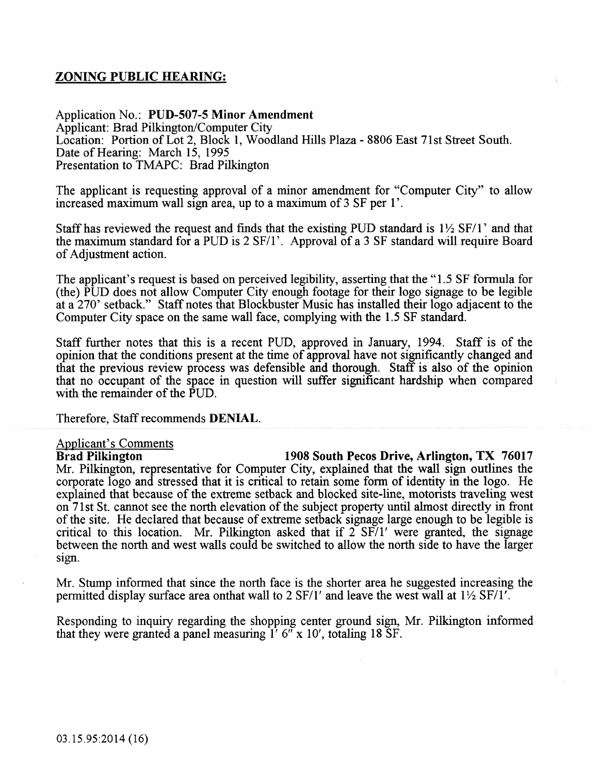# ZONING PUBLIC HEARING:

Application No.: PUD-507-5 Minor Amendment Applicant: Brad Pilkington/Computer City Location: Portion of Lot 2, Block 1, Woodland Hills Plaza- 8806 East 71st Street South. Date of Hearing: March 15, 1995 Presentation to TMAPC: Brad Pilkington

The applicant is requesting approval of a minor amendment for "Computer City" to allow increased maximum wall sign area, up to a maximum of 3 SF per 1'.

Staff has reviewed the request and finds that the existing PUD standard is  $1\frac{1}{2}$  SF/1' and that the maximum standard for a PUD is  $2 SFI$ . Approval of a  $3 SFi$  standard will require Board of Adjustment action.

The applicant's request is based on perceived legibility, asserting that the "1.5 SF formula for (the) PUD does not allow Computer City enough footage for their logo signage to be legible at a 270' setback." Staff notes that Blockbuster Music has installed their logo adjacent to the Computer City space on the same wall face, complying with the 1.5 SF standard.

Staff further notes that this is a recent PUD, approved in January, 1994. Staff is of the opinion that the conditions present at the time of approval have not significantly changed and that the previous review process was defensible and thorough. Staff is also of the opinion that no occupant of the space in question will suffer significant hardship when compared with the remainder of the PUD.

Therefore, Staff recommends DENIAL.

# **Applicant's Comments**<br>**Brad Pilkington**

1908 South Pecos Drive, Arlington, TX 76017 Mr. Pilkington, representative for Computer City, explained that the wall sign outlines the corporate logo and stressed that it is critical to retain some form of identity in the logo. He explained that because of the extreme setback and blocked site-line, motorists traveling west on 71st St. cannot see the north elevation of the subject property until almost directly in front of the site. He declared that because of extreme setback signage large enough to be legible is critical to this location. Mr. Pilkington asked that if  $2 SFT/1'$  were granted, the signage between the north and west walls could be switched to allow the north side to have the larger Sign.

Mr. Stump informed that since the north face is the shorter area he suggested increasing the permitted display surface area onthat wall to 2 SF/1' and leave the west wall at  $1\frac{1}{2}$  SF/1'.

Responding to inquiry regarding the shopping center ground sign, Mr. Pilkington informed that they were granted a panel measuring  $1'$  6" x 10', totaling 18 SF.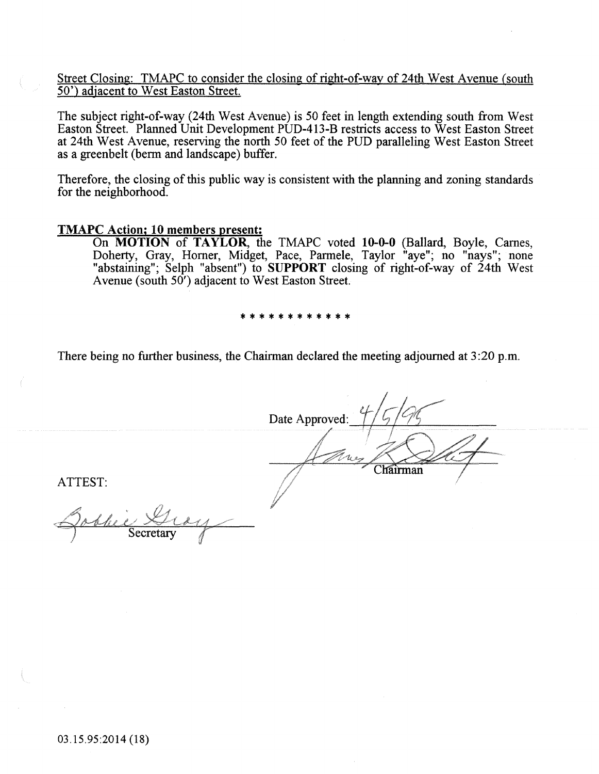Street Closing: TMAPC to consider the closing of right-of-way of 24th West Avenue (south 50') adjacent to West Easton Street.

The subject right-of-way (24th West Avenue) is 50 feet in length extending south from West Easton Street. Planned Unit Development PUD-413-B restricts access to West Easton Street at 24th West Avenue, reserving the north 50 feet of the PUD paralleling West Easton Street as a greenbelt (berm and landscape) buffer.

Therefore, the closing of this public way is consistent with the planning and zoning standards for the neighborhood.

#### TMAPC Action; 10 members present:

On MOTION of TAYLOR, the TMAPC voted 10-0-0 (Ballard, Boyle, Carnes, Doherty, Gray, Horner, Midget, Pace, Parmele, Taylor "aye"; no "nays"; none "abstaining"; Selph "absent") to SUPPORT closing of right-of-way of 24th West Avenue (south 50') adjacent to West Easton Street.

\* \* \* \* \* \* \* \* \* \* \* \*

There being no further business, the Chairman declared the meeting adjourned at 3:20 p.m.

Date Approved:  $\mathcal{U}$  as Chairman

ATTEST: